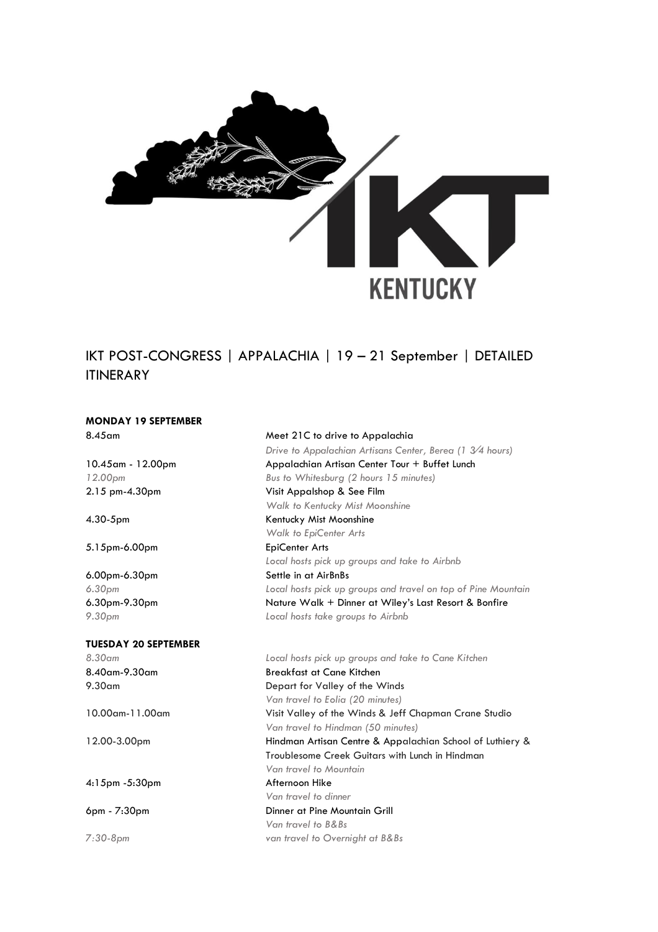

## IKT POST-CONGRESS | APPALACHIA | 19 – 21 September | DETAILED **ITINERARY**

## **MONDAY 19 SEPTEMBER**

# 6.00pm-6.30pm 6.30pm-9.30pm *9.30pm Local hosts take groups to Airbnb*

### **TUESDAY 20 SEPTEMBER**

4:15pm -5:30pm Afternoon Hike

*7:30-8pm van travel to Overnight at B&Bs* 

| 8.45am              | Meet 21C to drive to Appalachia                               |
|---------------------|---------------------------------------------------------------|
|                     | Drive to Appalachian Artisans Center, Berea (1 3/4 hours)     |
| 10.45am - 12.00pm   | Appalachian Artisan Center Tour + Buffet Lunch                |
| 12.00 <sub>pm</sub> | Bus to Whitesburg (2 hours 15 minutes)                        |
| 2.15 pm-4.30pm      | Visit Appalshop & See Film                                    |
|                     | Walk to Kentucky Mist Moonshine                               |
| 4.30-5pm            | Kentucky Mist Moonshine                                       |
|                     | Walk to EpiCenter Arts                                        |
| 5.15pm-6.00pm       | <b>EpiCenter Arts</b>                                         |
|                     | Local hosts pick up groups and take to Airbnb                 |
| 6.00pm-6.30pm       | Settle in at AirBnBs                                          |
| 6.30pm              | Local hosts pick up groups and travel on top of Pine Mountain |
| 6.30pm-9.30pm       | Nature Walk + Dinner at Wiley's Last Resort & Bonfire         |
| 9.30pm              | Local hosts take groups to Airbnb                             |

## *8.30am Local hosts pick up groups and take to Cane Kitchen*  8.40am-9.30am Breakfast at Cane Kitchen 9.30am Depart for Valley of the Winds *Van travel to Eolia (20 minutes)*  10.00am-11.00am Visit Valley of the Winds & Jeff Chapman Crane Studio *Van travel to Hindman (50 minutes)*  12.00-3.00pm Hindman Artisan Centre & Appalachian School of Luthiery & Troublesome Creek Guitars with Lunch in Hindman *Van travel to Mountain Van travel to dinner* 6pm - 7:30pm Dinner at Pine Mountain Grill *Van travel to B&Bs*